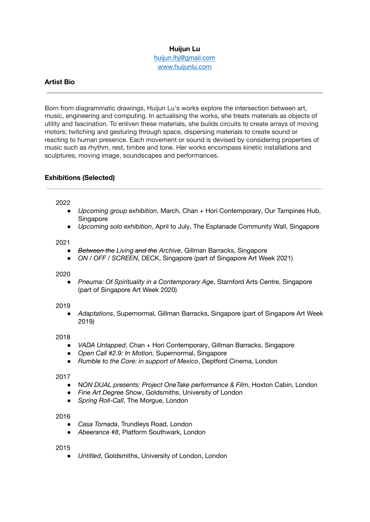# **Huijun Lu**

[huijun.lhj@gmail.com](mailto:huijun.lhj@gmail.com) [www.huijunlu.com](http://www.huijunlu.com)

# **Artist Bio**

Born from diagrammatic drawings, Huijun Lu's works explore the intersection between art, music, engineering and computing. In actualising the works, she treats materials as objects of utility and fascination. To enliven these materials, she builds circuits to create arrays of moving motors; twitching and gesturing through space, dispersing materials to create sound or reacting to human presence. Each movement or sound is devised by considering properties of music such as rhythm, rest, timbre and tone. Her works encompass kinetic installations and sculptures, moving image, soundscapes and performances.

# **Exhibitions (Selected)**

#### 2022

- *Upcoming group exhibition*, March, Chan + Hori Contemporary, Our Tampines Hub, Singapore
- *Upcoming solo exhibition*, April to July, The Esplanade Community Wall, Singapore

#### 2021

- *Between the Living and the Archive, Gillman Barracks, Singapore*
- *ON / OFF / SCREEN*, DECK, Singapore (part of Singapore Art Week 2021)

#### 2020

● *Pneuma: Of Spirituality in a Contemporary Age*, Stamford Arts Centre, Singapore (part of Singapore Art Week 2020)

## 2019

● *Adaptations*, Supernormal, Gillman Barracks, Singapore (part of Singapore Art Week 2019)

## 2018

- *VADA Untapped*, Chan + Hori Contemporary, Gillman Barracks, Singapore
- *Open Call #2.9: In Motion*, Supernormal, Singapore
- *Rumble to the Core: in support of Mexico*, Deptford Cinema, London

## 2017

- N*ON DUAL presents: Project OneTake performance & Film*, Hoxton Cabin, London
- **Fine Art Degree Show, Goldsmiths, University of London**
- *Spring Roll-Call*, The Morgue, London

#### 2016

- *Casa Tomada*, Trundleys Road, London
- *Abeerance #8*, Platform Southwark, London

#### 2015

● *Untitled*, Goldsmiths, University of London, London